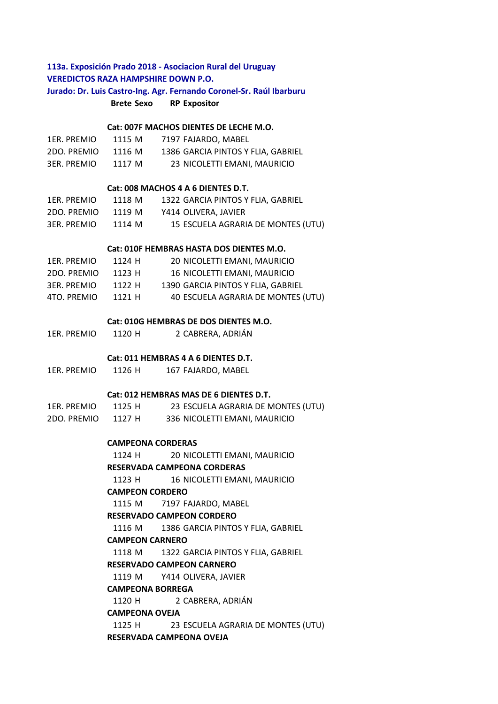# **Brete Sexo RP Expositor 113a. Exposición Prado 2018 - Asociacion Rural del Uruguay VEREDICTOS RAZA HAMPSHIRE DOWN P.O. Jurado: Dr. Luis Castro-Ing. Agr. Fernando Coronel-Sr. Raúl Ibarburu**

#### **Cat: 007F MACHOS DIENTES DE LECHE M.O.**

| 1ER. PREMIO | 1115 M | 7197 FAJARDO. MABEL                |
|-------------|--------|------------------------------------|
| 2DO. PREMIO | 1116 M | 1386 GARCIA PINTOS Y FLIA. GABRIEL |
| 3ER. PREMIO | 1117 M | 23 NICOLETTI EMANI, MAURICIO       |

### **Cat: 008 MACHOS 4 A 6 DIENTES D.T.**

| 1ER. PREMIO | 1118 M | 1322 GARCIA PINTOS Y FLIA, GABRIEL |
|-------------|--------|------------------------------------|
| 2DO. PREMIO | 1119 M | Y414 OLIVERA. JAVIER               |
| 3ER. PREMIO | 1114 M | 15 ESCUELA AGRARIA DE MONTES (UTU) |

#### **Cat: 010F HEMBRAS HASTA DOS DIENTES M.O.**

| 1ER. PREMIO | 1124 H | 20 NICOLETTI EMANI, MAURICIO       |
|-------------|--------|------------------------------------|
| 2DO. PREMIO | 1123 H | 16 NICOLETTI EMANI. MAURICIO       |
| 3ER. PREMIO | 1122 H | 1390 GARCIA PINTOS Y FLIA. GABRIEL |
| 4TO. PREMIO | 1121 H | 40 ESCUELA AGRARIA DE MONTES (UTU) |

#### **Cat: 010G HEMBRAS DE DOS DIENTES M.O.**

1ER. PREMIO 1120 H 2 CABRERA, ADRIÁN

#### **Cat: 011 HEMBRAS 4 A 6 DIENTES D.T.**

1ER. PREMIO 1126 H 167 FAJARDO, MABEL

### **Cat: 012 HEMBRAS MAS DE 6 DIENTES D.T.**

| 1ER. PREMIO | 1125 H | 23 ESCUELA AGRARIA DE MONTES (UTU) |
|-------------|--------|------------------------------------|
| 2DO. PREMIO | 1127 H | 336 NICOLETTI EMANI, MAURICIO      |

### **CAMPEONA CORDERAS**

1124 H 20 NICOLETTI EMANI, MAURICIO

**RESERVADA CAMPEONA CORDERAS** 

1123 H 16 NICOLETTI EMANI, MAURICIO

# **CAMPEON CORDERO**

1115 M 7197 FAJARDO, MABEL

## **RESERVADO CAMPEON CORDERO**

1116 M 1386 GARCIA PINTOS Y FLIA, GABRIEL

#### **CAMPEON CARNERO**

1118 M 1322 GARCIA PINTOS Y FLIA, GABRIEL

### **RESERVADO CAMPEON CARNERO**

1119 M Y414 OLIVERA, JAVIER

### **CAMPEONA BORREGA**

1120 H 2 CABRERA, ADRIÁN

#### **CAMPEONA OVEJA**

1125 H 23 ESCUELA AGRARIA DE MONTES (UTU) **RESERVADA CAMPEONA OVEJA**